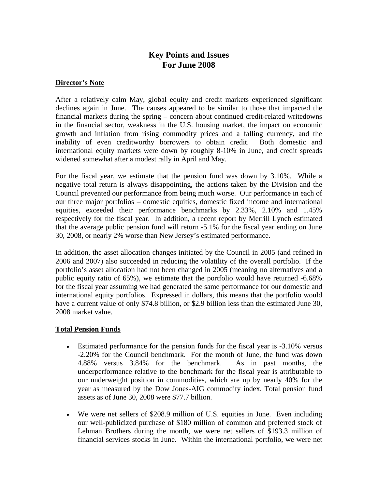# **Key Points and Issues For June 2008**

#### **Director's Note**

After a relatively calm May, global equity and credit markets experienced significant declines again in June. The causes appeared to be similar to those that impacted the financial markets during the spring – concern about continued credit-related writedowns in the financial sector, weakness in the U.S. housing market, the impact on economic growth and inflation from rising commodity prices and a falling currency, and the inability of even creditworthy borrowers to obtain credit. Both domestic and international equity markets were down by roughly 8-10% in June, and credit spreads widened somewhat after a modest rally in April and May.

For the fiscal year, we estimate that the pension fund was down by 3.10%. While a negative total return is always disappointing, the actions taken by the Division and the Council prevented our performance from being much worse. Our performance in each of our three major portfolios – domestic equities, domestic fixed income and international equities, exceeded their performance benchmarks by 2.33%, 2.10% and 1.45% respectively for the fiscal year. In addition, a recent report by Merrill Lynch estimated that the average public pension fund will return -5.1% for the fiscal year ending on June 30, 2008, or nearly 2% worse than New Jersey's estimated performance.

In addition, the asset allocation changes initiated by the Council in 2005 (and refined in 2006 and 2007) also succeeded in reducing the volatility of the overall portfolio. If the portfolio's asset allocation had not been changed in 2005 (meaning no alternatives and a public equity ratio of 65%), we estimate that the portfolio would have returned -6.68% for the fiscal year assuming we had generated the same performance for our domestic and international equity portfolios. Expressed in dollars, this means that the portfolio would have a current value of only \$74.8 billion, or \$2.9 billion less than the estimated June 30, 2008 market value.

#### **Total Pension Funds**

- Estimated performance for the pension funds for the fiscal year is  $-3.10\%$  versus -2.20% for the Council benchmark. For the month of June, the fund was down 4.88% versus 3.84% for the benchmark. As in past months, the underperformance relative to the benchmark for the fiscal year is attributable to our underweight position in commodities, which are up by nearly 40% for the year as measured by the Dow Jones-AIG commodity index. Total pension fund assets as of June 30, 2008 were \$77.7 billion.
- We were net sellers of \$208.9 million of U.S. equities in June. Even including our well-publicized purchase of \$180 million of common and preferred stock of Lehman Brothers during the month, we were net sellers of \$193.3 million of financial services stocks in June. Within the international portfolio, we were net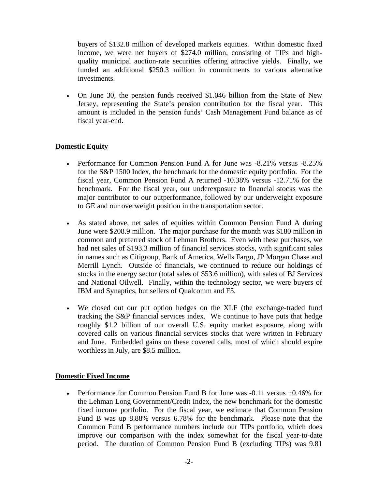buyers of \$132.8 million of developed markets equities. Within domestic fixed income, we were net buyers of \$274.0 million, consisting of TIPs and highquality municipal auction-rate securities offering attractive yields. Finally, we funded an additional \$250.3 million in commitments to various alternative investments.

• On June 30, the pension funds received \$1.046 billion from the State of New Jersey, representing the State's pension contribution for the fiscal year. This amount is included in the pension funds' Cash Management Fund balance as of fiscal year-end.

## **Domestic Equity**

- Performance for Common Pension Fund A for June was -8.21% versus -8.25% for the S&P 1500 Index, the benchmark for the domestic equity portfolio. For the fiscal year, Common Pension Fund A returned -10.38% versus -12.71% for the benchmark. For the fiscal year, our underexposure to financial stocks was the major contributor to our outperformance, followed by our underweight exposure to GE and our overweight position in the transportation sector.
- As stated above, net sales of equities within Common Pension Fund A during June were \$208.9 million. The major purchase for the month was \$180 million in common and preferred stock of Lehman Brothers. Even with these purchases, we had net sales of \$193.3 million of financial services stocks, with significant sales in names such as Citigroup, Bank of America, Wells Fargo, JP Morgan Chase and Merrill Lynch. Outside of financials, we continued to reduce our holdings of stocks in the energy sector (total sales of \$53.6 million), with sales of BJ Services and National Oilwell. Finally, within the technology sector, we were buyers of IBM and Synaptics, but sellers of Qualcomm and F5.
- We closed out our put option hedges on the XLF (the exchange-traded fund tracking the S&P financial services index. We continue to have puts that hedge roughly \$1.2 billion of our overall U.S. equity market exposure, along with covered calls on various financial services stocks that were written in February and June. Embedded gains on these covered calls, most of which should expire worthless in July, are \$8.5 million.

#### **Domestic Fixed Income**

• Performance for Common Pension Fund B for June was -0.11 versus +0.46% for the Lehman Long Government/Credit Index, the new benchmark for the domestic fixed income portfolio. For the fiscal year, we estimate that Common Pension Fund B was up 8.88% versus 6.78% for the benchmark. Please note that the Common Fund B performance numbers include our TIPs portfolio, which does improve our comparison with the index somewhat for the fiscal year-to-date period. The duration of Common Pension Fund B (excluding TIPs) was 9.81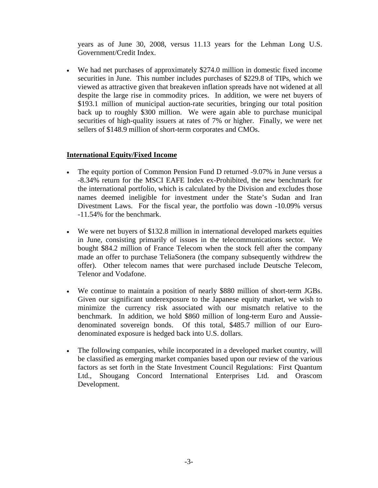years as of June 30, 2008, versus 11.13 years for the Lehman Long U.S. Government/Credit Index.

• We had net purchases of approximately \$274.0 million in domestic fixed income securities in June. This number includes purchases of \$229.8 of TIPs, which we viewed as attractive given that breakeven inflation spreads have not widened at all despite the large rise in commodity prices. In addition, we were net buyers of \$193.1 million of municipal auction-rate securities, bringing our total position back up to roughly \$300 million. We were again able to purchase municipal securities of high-quality issuers at rates of 7% or higher. Finally, we were net sellers of \$148.9 million of short-term corporates and CMOs.

## **International Equity/Fixed Income**

- The equity portion of Common Pension Fund D returned -9.07% in June versus a -8.34% return for the MSCI EAFE Index ex-Prohibited, the new benchmark for the international portfolio, which is calculated by the Division and excludes those names deemed ineligible for investment under the State's Sudan and Iran Divestment Laws. For the fiscal year, the portfolio was down -10.09% versus -11.54% for the benchmark.
- We were net buyers of \$132.8 million in international developed markets equities in June, consisting primarily of issues in the telecommunications sector. We bought \$84.2 million of France Telecom when the stock fell after the company made an offer to purchase TeliaSonera (the company subsequently withdrew the offer). Other telecom names that were purchased include Deutsche Telecom, Telenor and Vodafone.
- We continue to maintain a position of nearly \$880 million of short-term JGBs. Given our significant underexposure to the Japanese equity market, we wish to minimize the currency risk associated with our mismatch relative to the benchmark. In addition, we hold \$860 million of long-term Euro and Aussiedenominated sovereign bonds. Of this total, \$485.7 million of our Eurodenominated exposure is hedged back into U.S. dollars.
- The following companies, while incorporated in a developed market country, will be classified as emerging market companies based upon our review of the various factors as set forth in the State Investment Council Regulations: First Quantum Ltd., Shougang Concord International Enterprises Ltd. and Orascom Development.